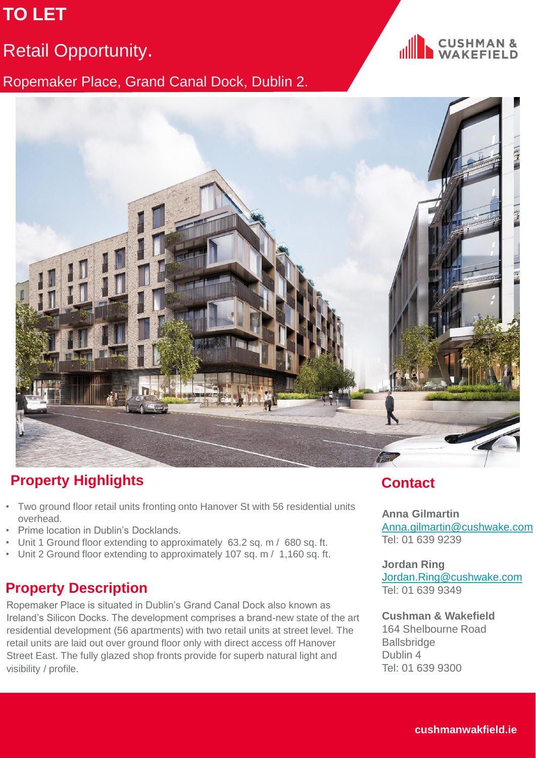# **TO LET**

## Retail Opportunity.

Ropemaker Place, Grand Canal Dock, Dublin 2.





## **Property Highlights Contact**

- Two ground floor retail units fronting onto Hanover St with 56 residential units overhead.
- Prime location in Dublin's Docklands.
- Unit 1 Ground floor extending to approximately 63.2 sq. m / 680 sq. ft.
- Unit 2 Ground floor extending to approximately 107 sq. m / 1,160 sq. ft.

#### **Property Description**

Ropemaker Place is situated in Dublin's Grand Canal Dock also known as Ireland's Silicon Docks. The development comprises a brand-new state of the art residential development (56 apartments) with two retail units at street level. The retail units are laid out over ground floor only with direct access off Hanover Street East. The fully glazed shop fronts provide for superb natural light and visibility / profile.

**Anna Gilmartin**  [Anna.gilmartin@cushwake.com](mailto:Anna.gilmartin@cushwake.com) Tel: 01 639 9239

**Jordan Ring** [Jordan.Ring@cushwake.com](mailto:Jordan.Ring@cushwake.com) Tel: 01 639 9349

**Cushman & Wakefield** 164 Shelbourne Road **Ballsbridge** Dublin 4 Tel: 01 639 9300

**cushmanwakfield.ie**